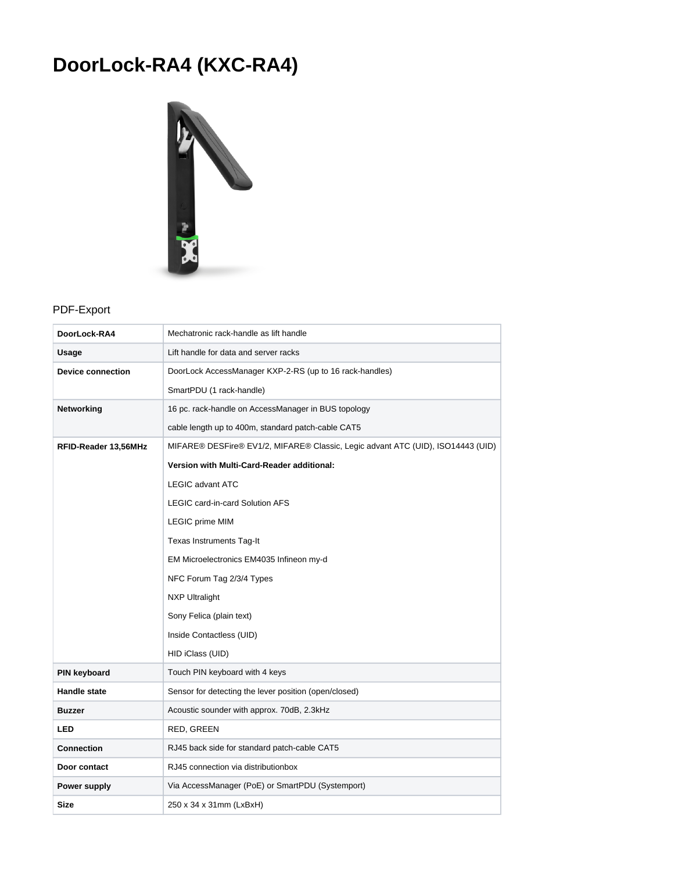## **DoorLock-RA4 (KXC-RA4)**



## PDF-Export

| DoorLock-RA4                                                                                            | Mechatronic rack-handle as lift handle                  |  |
|---------------------------------------------------------------------------------------------------------|---------------------------------------------------------|--|
| Usage                                                                                                   | Lift handle for data and server racks                   |  |
| <b>Device connection</b>                                                                                | DoorLock AccessManager KXP-2-RS (up to 16 rack-handles) |  |
|                                                                                                         | SmartPDU (1 rack-handle)                                |  |
| <b>Networking</b>                                                                                       | 16 pc. rack-handle on AccessManager in BUS topology     |  |
|                                                                                                         | cable length up to 400m, standard patch-cable CAT5      |  |
| MIFARE® DESFire® EV1/2, MIFARE® Classic, Legic advant ATC (UID), ISO14443 (UID)<br>RFID-Reader 13,56MHz |                                                         |  |
|                                                                                                         | Version with Multi-Card-Reader additional:              |  |
|                                                                                                         | <b>LEGIC advant ATC</b>                                 |  |
|                                                                                                         | <b>LEGIC card-in-card Solution AFS</b>                  |  |
|                                                                                                         | LEGIC prime MIM                                         |  |
|                                                                                                         | <b>Texas Instruments Tag-It</b>                         |  |
|                                                                                                         | EM Microelectronics EM4035 Infineon my-d                |  |
|                                                                                                         | NFC Forum Tag 2/3/4 Types                               |  |
|                                                                                                         | <b>NXP Ultralight</b>                                   |  |
|                                                                                                         | Sony Felica (plain text)                                |  |
|                                                                                                         | Inside Contactless (UID)                                |  |
|                                                                                                         | HID iClass (UID)                                        |  |
| PIN keyboard                                                                                            | Touch PIN keyboard with 4 keys                          |  |
| <b>Handle state</b>                                                                                     | Sensor for detecting the lever position (open/closed)   |  |
| <b>Buzzer</b>                                                                                           | Acoustic sounder with approx. 70dB, 2.3kHz              |  |
| <b>LED</b>                                                                                              | RED, GREEN                                              |  |
| <b>Connection</b>                                                                                       | RJ45 back side for standard patch-cable CAT5            |  |
| Door contact                                                                                            | RJ45 connection via distributionbox                     |  |
| Power supply                                                                                            | Via AccessManager (PoE) or SmartPDU (Systemport)        |  |
| Size                                                                                                    | 250 x 34 x 31mm (LxBxH)                                 |  |